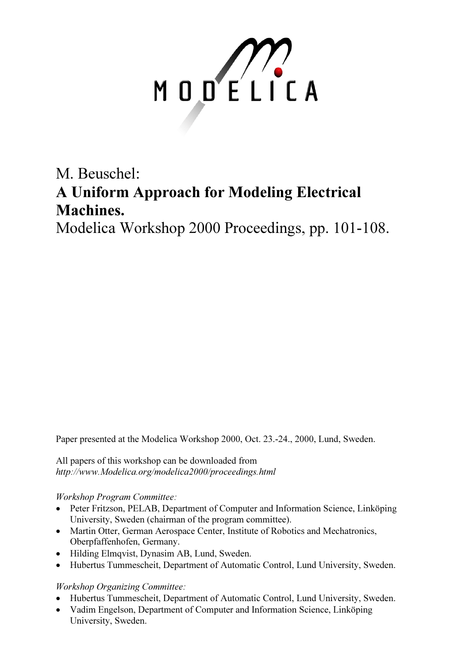

# M. Beuschel: A Uniform Approach for Modeling Electrical Machines.

Modelica Workshop 2000 Proceedings, pp. 101-108.

Paper presented at the Modelica Workshop 2000, Oct. 23.-24., 2000, Lund, Sweden.

All papers of this workshop can be downloaded from http://www.Modelica.org/modelica2000/proceedings.html

#### Workshop Program Committee:

- Peter Fritzson, PELAB, Department of Computer and Information Science, Linköping University, Sweden (chairman of the program committee).
- Martin Otter, German Aerospace Center, Institute of Robotics and Mechatronics, Oberpfaffenhofen, Germany.
- Hilding Elmqvist, Dynasim AB, Lund, Sweden.
- Hubertus Tummescheit, Department of Automatic Control, Lund University, Sweden.

## Workshop Organizing Committee:

- Hubertus Tummescheit, Department of Automatic Control, Lund University, Sweden.
- Vadim Engelson, Department of Computer and Information Science, Linköping University, Sweden.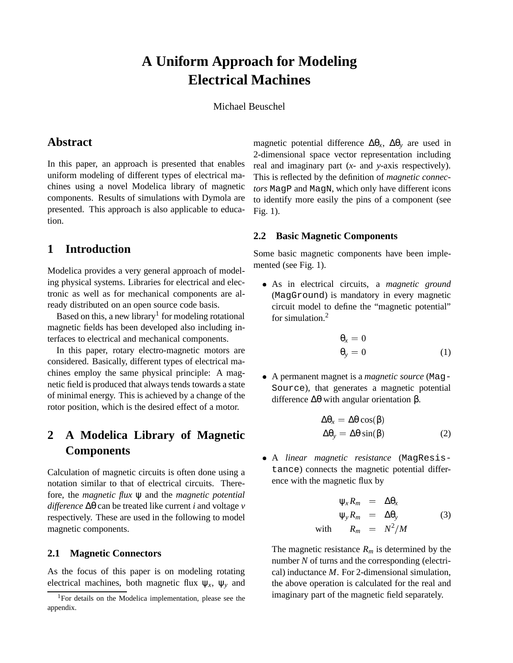## **A Uniform Approach for Modeling Electrical Machines**

Michael Beuschel

#### **Abstract**

In this paper, an approach is presented that enables uniform modeling of different types of electrical machines using a novel Modelica library of magnetic components. Results of simulations with Dymola are presented. This approach is also applicable to education.

#### **1 Introduction**

Modelica provides a very general approach of modeling physical systems. Libraries for electrical and electronic as well as for mechanical components are already distributed on an open source code basis.

Based on this, a new library<sup>1</sup> for modeling rotational magnetic fields has been developed also including interfaces to electrical and mechanical components.

In this paper, rotary electro-magnetic motors are considered. Basically, different types of electrical machines employ the same physical principle: A magnetic field is produced that always tends towards a state of minimal energy. This is achieved by a change of the rotor position, which is the desired effect of a motor.

## **2 A Modelica Library of Magnetic Components**

Calculation of magnetic circuits is often done using a notation similar to that of electrical circuits. Therefore, the *magnetic flux* ψ and the *magnetic potential difference* ∆θ can be treated like current *i* and voltage *v* respectively. These are used in the following to model magnetic components.

#### **2.1 Magnetic Connectors**

As the focus of this paper is on modeling rotating electrical machines, both magnetic flux  $\Psi_x$ ,  $\Psi_y$  and magnetic potential difference  $\Delta\theta_x$ ,  $\Delta\theta_y$  are used in 2-dimensional space vector representation including real and imaginary part (*x*- and *y*-axis respectively). This is reflected by the definition of *magnetic connectors* MagP and MagN, which only have different icons to identify more easily the pins of a component (see Fig. 1).

#### **2.2 Basic Magnetic Components**

Some basic magnetic components have been implemented (see Fig. 1).

 As in electrical circuits, a *magnetic ground* (MagGround) is mandatory in every magnetic circuit model to define the "magnetic potential" for simulation  $2$ 

$$
\begin{aligned}\n\theta_x &= 0\\
\theta_y &= 0\n\end{aligned} \tag{1}
$$

 A permanent magnet is a *magnetic source* (Mag-Source), that generates a magnetic potential difference ∆θ with angular orientation β.

$$
\Delta\theta_x = \Delta\theta \cos(\beta) \n\Delta\theta_y = \Delta\theta \sin(\beta)
$$
\n(2)

 A *linear magnetic resistance* (MagResistance) connects the magnetic potential difference with the magnetic flux by

$$
\Psi_x R_m = \Delta \Theta_x
$$
  
\n
$$
\Psi_y R_m = \Delta \Theta_y
$$
 (3)  
\nwith 
$$
R_m = N^2/M
$$

The magnetic resistance  $R_m$  is determined by the number *N* of turns and the corresponding (electrical) inductance *M*. For 2-dimensional simulation, the above operation is calculated for the real and imaginary part of the magnetic field separately.

<sup>&</sup>lt;sup>1</sup>For details on the Modelica implementation, please see the appendix.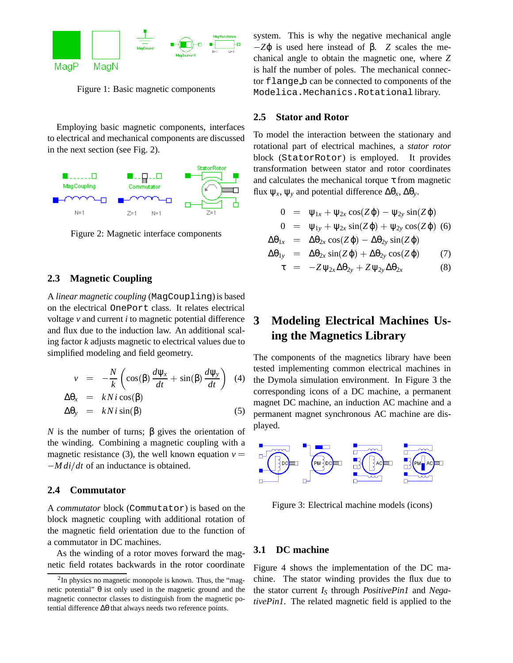

Figure 1: Basic magnetic components

Employing basic magnetic components, interfaces to electrical and mechanical components are discussed in the next section (see Fig. 2).



Figure 2: Magnetic interface components

#### **2.3 Magnetic Coupling**

A *linear magnetic coupling* (MagCoupling) is based on the electrical OnePort class. It relates electrical voltage *v* and current *i* to magnetic potential difference and flux due to the induction law. An additional scaling factor *k* adjusts magnetic to electrical values due to simplified modeling and field geometry.

$$
v = -\frac{N}{k} \left( \cos(\beta) \frac{d\psi_x}{dt} + \sin(\beta) \frac{d\psi_y}{dt} \right) \tag{4}
$$

$$
\Delta \theta_r = kN i \cos(\beta)
$$

$$
\Delta \theta_{y} = kN i \sin(\beta) \tag{5}
$$

*N* is the number of turns;  $\beta$  gives the orientation of the winding. Combining a magnetic coupling with a magnetic resistance (3), the well known equation  $v =$  $-Mdi/dt$  of an inductance is obtained.

#### **2.4 Commutator**

A *commutator* block (Commutator) is based on the block magnetic coupling with additional rotation of the magnetic field orientation due to the function of a commutator in DC machines.

As the winding of a rotor moves forward the magnetic field rotates backwards in the rotor coordinate system. This is why the negative mechanical angle  $-Z$ φ is used here instead of β. *Z* scales the mechanical angle to obtain the magnetic one, where *Z* is half the number of poles. The mechanical connector flange b can be connected to components of the Modelica.Mechanics.Rotational library.

#### **2.5 Stator and Rotor**

To model the interaction between the stationary and rotational part of electrical machines, a *stator rotor* block (StatorRotor) is employed. It provides transformation between stator and rotor coordinates and calculates the mechanical torque  $\tau$  from magnetic flux ψ*x*, ψ*<sup>y</sup>* and potential difference ∆θ*x*, ∆θ*y*.

$$
0 = \psi_{1x} + \psi_{2x} \cos(Z\varphi) - \psi_{2y} \sin(Z\varphi)
$$

$$
0 = \psi_{1y} + \psi_{2x} \sin(Z\varphi) + \psi_{2y} \cos(Z\varphi)
$$
 (6)

$$
\Delta\theta_{1x} = \Delta\theta_{2x} \cos(Z\varphi) - \Delta\theta_{2y} \sin(Z\varphi)
$$

$$
\Delta\theta_{1y} = \Delta\theta_{2x} \sin(Z\varphi) + \Delta\theta_{2y} \cos(Z\varphi) \qquad (7)
$$

$$
\tau = -Z \psi_{2x} \Delta \theta_{2y} + Z \psi_{2y} \Delta \theta_{2x}
$$
 (8)

## **3 Modeling Electrical Machines Using the Magnetics Library**

 $\left(\frac{d\psi_y}{dt}\right)$  (4) the Dymola simulation environment. In Figure 3 the The components of the magnetics library have been tested implementing common electrical machines in corresponding icons of a DC machine, a permanent magnet DC machine, an induction AC machine and a permanent magnet synchronous AC machine are displayed.



Figure 3: Electrical machine models (icons)

#### **3.1 DC machine**

Figure 4 shows the implementation of the DC machine. The stator winding provides the flux due to the stator current *IS* through *PositivePin1* and *NegativePin1*. The related magnetic field is applied to the

 $2$ In physics no magnetic monopole is known. Thus, the "magnetic potential"  $θ$  ist only used in the magnetic ground and the magnetic connector classes to distinguish from the magnetic potential difference ∆θ that always needs two reference points.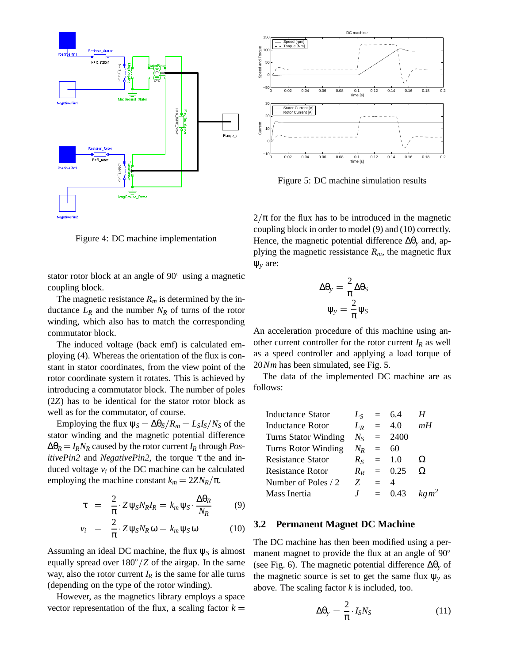



Figure 5: DC machine simulation results

 $2/\pi$  for the flux has to be introduced in the magnetic coupling block in order to model (9) and (10) correctly. Hence, the magnetic potential difference ∆θ*<sup>y</sup>* and, applying the magnetic ressistance  $R_m$ , the magnetic flux ψ*<sup>y</sup>* are:

Figure 4: DC machine implementation

stator rotor block at an angle of 90° using a magnetic coupling block.

The magnetic resistance  $R_m$  is determined by the inductance  $L_R$  and the number  $N_R$  of turns of the rotor winding, which also has to match the corresponding commutator block.

The induced voltage (back emf) is calculated employing (4). Whereas the orientation of the flux is constant in stator coordinates, from the view point of the rotor coordinate system it rotates. This is achieved by introducing a commutator block. The number of poles (2*Z*) has to be identical for the stator rotor block as well as for the commutator, of course.

Employing the flux  $\psi_S = \Delta\theta_S/R_m = L_S I_S/N_S$  of the stator winding and the magnetic potential difference  $\Delta\theta_R = I_R N_R$  caused by the rotor current  $I_R$  through *PositivePin2* and *NegativePin2*, the torque τ the and induced voltage  $v_i$  of the DC machine can be calculated employing the machine constant  $k_m = 2ZN_R/\pi$ .

$$
\tau = \frac{2}{\pi} \cdot Z \psi_S N_R I_R = k_m \psi_S \cdot \frac{\Delta \theta_R}{N_R}
$$
(9)

$$
v_i = \frac{2}{\pi} \cdot Z \psi_S N_R \omega = k_m \psi_S \omega \qquad (10)
$$

Assuming an ideal DC machine, the flux  $\psi_S$  is almost equally spread over  $180^{\circ}/Z$  of the airgap. In the same way, also the rotor current  $I_R$  is the same for alle turns (depending on the type of the rotor winding).

However, as the magnetics library employs a space vector representation of the flux, a scaling factor  $k =$ 

$$
\Delta \theta_{y} = \frac{2}{\pi} \Delta \theta_{S}
$$

$$
\Psi_{y} = \frac{2}{\pi} \Psi_{S}
$$

An acceleration procedure of this machine using another current controller for the rotor current  $I_R$  as well as a speed controller and applying a load torque of 20*Nm* has been simulated, see Fig. 5.

The data of the implemented DC machine are as follows:

| $L_{S}$     |          |       |                                                                     |
|-------------|----------|-------|---------------------------------------------------------------------|
| $L_R$       | $\equiv$ |       | mН                                                                  |
| $N_{\rm S}$ |          | 2400  |                                                                     |
|             | $\equiv$ | 60    |                                                                     |
| $R_{S}$     |          |       | Ω                                                                   |
| $R_{R}$     |          |       | Ω                                                                   |
| Z           |          |       |                                                                     |
|             |          |       | kg m <sup>2</sup>                                                   |
|             |          | $N_R$ | $= 6.4$<br>4.0<br>$=$ $-$<br>$=$ 1.0<br>$= 0.25$<br>$=$<br>$= 0.43$ |

#### **3.2 Permanent Magnet DC Machine**

The DC machine has then been modified using a permanent magnet to provide the flux at an angle of 90° (see Fig. 6). The magnetic potential difference ∆θ*<sup>y</sup>* of the magnetic source is set to get the same flux  $\psi$ <sup>*y*</sup> as above. The scaling factor *k* is included, too.

$$
\Delta\theta_{y} = \frac{2}{\pi} \cdot I_{S} N_{S} \tag{11}
$$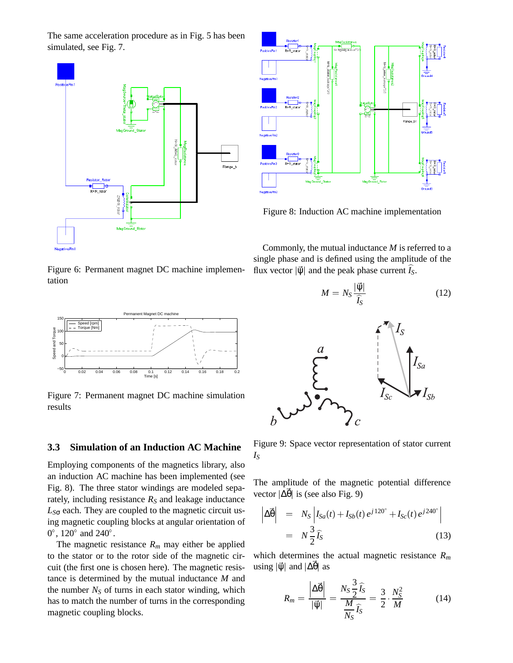The same acceleration procedure as in Fig. 5 has been simulated, see Fig. 7.





Figure 8: Induction AC machine implementation

Commonly, the mutual inductance *M* is referred to a single phase and is defined using the amplitude of the flux vector  $|\vec{\psi}|$  and the peak phase current *I<sub>S</sub>*.

$$
M = N_S \frac{|\vec{\Psi}|}{\hat{I}_S}
$$
 (12)



Figure 9: Space vector representation of stator current *IS*

The amplitude of the magnetic potential difference vector  $|\Delta \vec{\theta}|$  is (see also Fig. 9)

$$
\left| \Delta \vec{\Theta} \right| = N_S \left| I_{Sa}(t) + I_{Sb}(t) e^{j120^\circ} + I_{Sc}(t) e^{j240^\circ} \right|
$$
  
=  $N \frac{3}{2} \widehat{I}_S$  (13)

which determines the actual magnetic resistance *Rm* using  $|\vec{\psi}|$  and  $|\Delta\theta|$  as

$$
R_m = \frac{\left|\Delta \vec{\theta}\right|}{\left|\vec{\psi}\right|} = \frac{N_S \frac{3}{2} \hat{I}_S}{\frac{M}{N_S} \hat{I}_S} = \frac{3}{2} \cdot \frac{N_S^2}{M} \tag{14}
$$

Figure 6: Permanent magnet DC machine implementation



Figure 7: Permanent magnet DC machine simulation results

#### **3.3 Simulation of an Induction AC Machine**

Employing components of the magnetics library, also an induction AC machine has been implemented (see Fig. 8). The three stator windings are modeled separately, including resistance  $R<sub>S</sub>$  and leakage inductance *LS*<sup>σ</sup> each. They are coupled to the magnetic circuit using magnetic coupling blocks at angular orientation of  $0^{\circ}$ , 120 $^{\circ}$  and 240 $^{\circ}$ .

The magnetic resistance  $R_m$  may either be applied to the stator or to the rotor side of the magnetic circuit (the first one is chosen here). The magnetic resistance is determined by the mutual inductance *M* and the number  $N<sub>S</sub>$  of turns in each stator winding, which has to match the number of turns in the corresponding magnetic coupling blocks.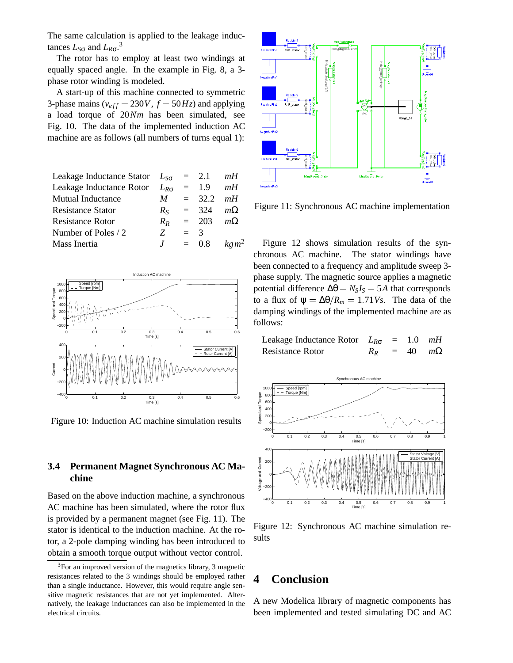The same calculation is applied to the leakage inductances  $L_{\text{SG}}$  and  $L_{R\sigma}$ .<sup>3</sup>

The rotor has to employ at least two windings at equally spaced angle. In the example in Fig. 8, a 3 phase rotor winding is modeled.

A start-up of this machine connected to symmetric 3-phase mains ( $v_{eff} = 230V$ ,  $f = 50Hz$ ) and applying a load torque of 20*Nm* has been simulated, see Fig. 10. The data of the implemented induction AC machine are as follows (all numbers of turns equal 1):

| Leakage Inductance Stator $L_{S_{\sigma}}$ |                  |       | $= 2.1$           | mH                |
|--------------------------------------------|------------------|-------|-------------------|-------------------|
| Leakage Inductance Rotor                   | $L_{R_{\sigma}}$ |       | $=$ 1.9           | mH                |
| Mutual Inductance                          | M                |       | $= 32.2$ mH       |                   |
| <b>Resistance Stator</b>                   | $R_{S}$          |       | $= 324$           | $m\Omega$         |
| <b>Resistance Rotor</b>                    | $R_{R}$          |       | $= 203$ $m\Omega$ |                   |
| Number of Poles / 2                        | Z                | $=$ 3 |                   |                   |
| Mass Inertia                               | J                |       | $= 0.8$           | kg m <sup>2</sup> |
|                                            |                  |       |                   |                   |



Figure 10: Induction AC machine simulation results

#### **3.4 Permanent Magnet Synchronous AC Machine**

Based on the above induction machine, a synchronous AC machine has been simulated, where the rotor flux is provided by a permanent magnet (see Fig. 11). The stator is identical to the induction machine. At the rotor, a 2-pole damping winding has been introduced to obtain a smooth torque output without vector control.



Figure 11: Synchronous AC machine implementation

Figure 12 shows simulation results of the synchronous AC machine. The stator windings have been connected to a frequency and amplitude sweep 3 phase supply. The magnetic source applies a magnetic potential difference  $\Delta\theta = N_S I_S = 5A$  that corresponds to a flux of  $\psi = \Delta\theta/R_m = 1.71V_s$ . The data of the damping windings of the implemented machine are as follows:

| Leakage Inductance Rotor $L_{R\sigma} = 1.0$ mH |                      |  |  |
|-------------------------------------------------|----------------------|--|--|
| <b>Resistance Rotor</b>                         | $R_R = 40$ $m\Omega$ |  |  |



Figure 12: Synchronous AC machine simulation results

## **4 Conclusion**

A new Modelica library of magnetic components has been implemented and tested simulating DC and AC

 $3$ For an improved version of the magnetics library, 3 magnetic resistances related to the 3 windings should be employed rather than a single inductance. However, this would require angle sensitive magnetic resistances that are not yet implemented. Alternatively, the leakage inductances can also be implemented in the electrical circuits.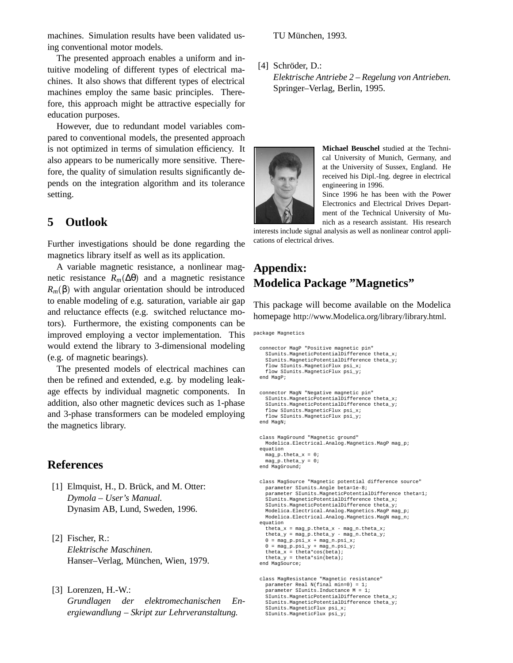machines. Simulation results have been validated using conventional motor models.

The presented approach enables a uniform and intuitive modeling of different types of electrical machines. It also shows that different types of electrical machines employ the same basic principles. Therefore, this approach might be attractive especially for education purposes.

However, due to redundant model variables compared to conventional models, the presented approach is not optimized in terms of simulation efficiency. It also appears to be numerically more sensitive. Therefore, the quality of simulation results significantly depends on the integration algorithm and its tolerance setting.

## **5 Outlook**

Further investigations should be done regarding the magnetics library itself as well as its application.

A variable magnetic resistance, a nonlinear magnetic resistance  $R_m(\Delta\theta)$  and a magnetic resistance  $R_m(\beta)$  with angular orientation should be introduced to enable modeling of e.g. saturation, variable air gap and reluctance effects (e.g. switched reluctance motors). Furthermore, the existing components can be improved employing a vector implementation. This would extend the library to 3-dimensional modeling (e.g. of magnetic bearings).

The presented models of electrical machines can then be refined and extended, e.g. by modeling leakage effects by individual magnetic components. In addition, also other magnetic devices such as 1-phase and 3-phase transformers can be modeled employing the magnetics library.

#### **References**

- $[1]$  Elmquist, H., D. Brück, and M. Otter: *Dymola – User's Manual.* Dynasim AB, Lund, Sweden, 1996.
- [2] Fischer, R.: *Elektrische Maschinen.* Hanser–Verlag, München, Wien, 1979.
- [3] Lorenzen, H.-W.: *Grundlagen der elektromechanischen Energiewandlung – Skript zur Lehrveranstaltung.*

TU München, 1993.

[4] Schröder, D.:

*Elektrische Antriebe 2 – Regelung von Antrieben.* Springer–Verlag, Berlin, 1995.



**Michael Beuschel** studied at the Technical University of Munich, Germany, and at the University of Sussex, England. He received his Dipl.-Ing. degree in electrical engineering in 1996.

Since 1996 he has been with the Power Electronics and Electrical Drives Department of the Technical University of Munich as a research assistant. His research

interests include signal analysis as well as nonlinear control applications of electrical drives.

## **Appendix: Modelica Package "Magnetics"**

This package will become available on the Modelica homepage http://www.Modelica.org/library/library.html.

package Magnetics

```
connector MagP "Positive magnetic pin"
  SIunits.MagneticPotentialDifference theta_x;
  \texttt{Sunits.MagneticPotentialDifference} theta_y;
  flow SIunits.MagneticFlux psi_x;
  flow SIunits.MagneticFlux psi_y;
end MagP;
connector MagN "Negative magnetic pin"
  SIunits.MagneticPotentialDifference theta_x;
  SIunits.MagneticPotentialDifference theta_y;
  flow SIunits.MagneticFlux psi_x;
  flow SIunits.MagneticFlux psi_y;
end MagN;
class MagGround "Magnetic ground"
  Modelica.Electrical.Analog.Magnetics.MagP mag_p;
equation
  mag_p.theta_x = 0;
  mag_p.theta_y = 0;end MagGround;
class MagSource "Magnetic potential difference source"
  parameter SIunits.Angle beta=1e-8;
  parameter SIunits.MagneticPotentialDifference theta=1;
  SIunits.MagneticPotentialDifference theta_x;
  SIunits.MagneticPotentialDifference theta_y;
  Modelica.Electrical.Analog.Magnetics.MagP mag_p;
  Modelica.Electrical.Analog.Magnetics.MagN mag_n;
equation
  theta_x = mag_p.theta_x - mag_n.theta_x;
  thetheta_y = mag_p.theta_y - mag_n.theta_y;
  0 = mag_p.psi_x + mag_n.psi_x;
0 = mag_p.psi_y + mag_n.psi_y;
  theta_x = theta*cos(beta);
theta_y = theta*sin(beta);
end MagSource;
class MagResistance "Magnetic resistance"
  parameter Real N(final min=0) = 1;
parameter SIunits.Inductance M = 1;
```
SIunits.MagneticPotentialDifference theta\_x; SIunits.MagneticPotentialDifference theta\_y; SIunits.MagneticFlux psi\_x; SIunits.MagneticFlux psi\_y;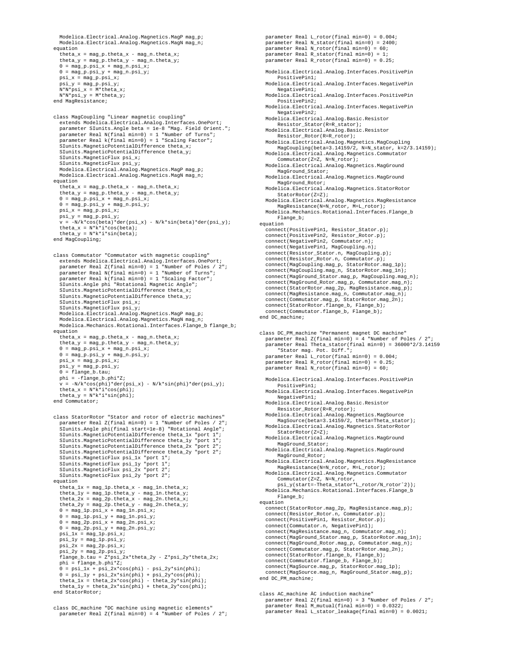```
Modelica.Electrical.Analog.Magnetics.MagP mag_p;
  Modelica.Electrical.Analog.Magnetics.MagN mag_n;
equation
  theta x = \text{mag} p.theta x - \text{mag} n.theta xi;
  theta_y = mag_p.theta_y - mag_n.theta_y;0 = mag_p.psi_x + mag_n.psi_x;
0 = mag_p.psi_y + mag_n.psi_y;
  psi_x = mag_p.psi_x;
  psi_y = mag_p.psi_y;N*N*psi_x = M*theta_x;
N*N*psi_y = M*theta_y;
end MagResistance;
class MagCoupling "Linear magnetic coupling"
  extends Modelica.Electrical.Analog.Interfaces.OnePort;
  parameter SIunits.Angle beta = 1e-8 "Mag. Field Orient.";
   parameter Real N(final min=0) = 1 "Number of Turns";
parameter Real k(final min=0) = 1 "Scaling Factor";
   .<br>SIunits.MagneticPotentialDifference theta_x;
  SIunits.MagneticPotentialDifference theta_y;
  SIunits.MagneticFlux psi_x;
   SIunits.MagneticFlux psi_y;
  Modelica.Electrical.Analog.Magnetics.MagP mag_p;
  Modelica.Electrical.Analog.Magnetics.MagN mag_n;
equation
   theta_x = mag_p.theta_x - mag_n.theta_x;
theta_y = mag_p.theta_y - mag_n.theta_y;
   0 = mag_p.psi_x + mag_n.psi_x;
0 = mag_p.psi_y + mag_n.psi_y;
  psi_x = mag_p, psi_x;psi_y = mag_p.psi_y;v = -N/k*cos(beta)*der(psi_x) - N/k*sin(beta)*der(psi_y);
  theta_x = N*k * i * cos(beta);
   theta_y = N*k* i * sin(beta);
end MagCoupling;
class Commutator "Commutator with magnetic coupling"
  extends Modelica.Electrical.Analog.Interfaces.OnePort;
   parameter Real Z(final min=0) = 1 "Number of Poles / 2";
parameter Real N(final min=0) = 1 "Number of Turns";
  parameter Real k(final min=0) = 1 "Scaling Factor";
   SIunits.Angle phi "Rotational Magnetic Angle";
  SIunits.MagneticPotentialDifference theta_x;
  SIunits.MagneticPotentialDifference theta_y;
  SIunits.MagneticFlux psi_x;
  SIunits.MagneticFlux psi_v;
  Modelica.Electrical.Analog.Magnetics.MagP mag_p;
  Modelica.Electrical.Analog.Magnetics.MagN mag_n;
  Modelica.Mechanics.Rotational.Interfaces.Flange_b flange_b;
equation
   theta_x = mag_p.theta_x - mag_n.theta_x;
theta_y = mag_p.theta_y - mag_n.theta_y;
   0 = mag_p.psi_x + mag_n.psi_x;
0 = mag_p.psi_y + mag_n.psi_y;
  psi_x = mag_p.psi_x;psi_y = mag_p.psi_y;0 = flangeb.tau;
  phi = -flange_b.phi*Z;
   v = -N/k*cos(phi)*der(psi_x) - N/k*sin(phi)*der(psi_y);
theta_x = N*k*i*cos(phi);
  theta_y = N*k* i * sin(\pi h);
end Commutator;
class StatorRotor "Stator and rotor of electric machines"
parameter Real Z(final min=0) = 1 "Number of Poles / 2";
   SIunits.Angle phi(final start=1e-8) "Rotational Angle";
   SIunits.MagneticPotentialDifference theta_1x "port 1";
SIunits.MagneticPotentialDifference theta_1y "port 1";
   SIunits.MagneticPotentialDifference theta_2x "port 2";
  SIunits.MagneticPotentialDifference theta_2y "port 2";
  SIunits. MagneticFlux psi_1x "port 1";
  SIunits.MagneticFlux psi_1y "port 1";
   SIunits.MagneticFlux psi_2x "port 2";
SIunits.MagneticFlux psi_2y "port 2";
equation
  theta 1x = mag 1p.theta x - mag 1n.theta xi;
   theta_1y = \frac{1}{\text{mag\_1p}. \text{theta}_y} - \frac{1}{\text{mag\_1n}. \text{theta}_y};
  theta_2x = mag_2p.theta_x - mag_2n.theta_x;
   theta_2y = mag_2p.theta_y - mag_2n.theta_y;
0 = mag_1p.psi_x + mag_1n.psi_x;
0 = mag_1p.psi_y + mag_1n.psi_y;
   0 = mag_2p.psi_x + mag_2n.psi_x;
0 = mag_2p.psi_y + mag_2n.psi_y;
   psi_1x = mag_1p.psi_x;
psi_1y = mag_1p.psi_y;
  psi_2x = mag_2p.psi_x;psi_2y = mag_2p.psi_y;
flange_b.tau = Z*psi_2x*theta_2y - Z*psi_2y*theta_2x;
  phi = flange_b.phi*Z;
   0 = \psi_1 \cdot \psi_2 + \psi_3 \cdot \psi_4 + \psi_5 \cdot \psi_5 + \psi_6 \cdot \psi_7 + \psi_7 \cdot \psi_8 + \psi_7 \cdot \psi_9<br>
0 = \psi_1 \cdot \psi_7 + \psi_8 \cdot \psi_8 + \psi_9 \cdot \psi_9 + \psi_9 \cdot \psi_9 + \psi_1 \cdot \psi_9theta_1x = theta_2x*cos(phi) - theta_2y*sin(phi);
theta_1y = theta_2x*sin(phi) + theta_2y*cos(phi);
end StatorRotor;
```
parameter Real L\_rotor(final min=0) = 0.004; parameter Real N\_stator(final min=0) = 2400; parameter Real N\_rotor(final min=0) = 60; parameter Real R\_stator(final min=0) = 1; parameter Real R rotor(final min=0) =  $0.25$ ; Modelica.Electrical.Analog.Interfaces.PositivePin PositivePin1; Modelica.Electrical.Analog.Interfaces.NegativePin NegativePin1; Modelica.Electrical.Analog.Interfaces.PositivePin PositivePin2; Modelica.Electrical.Analog.Interfaces.NegativePin NegativePin2; Modelica.Electrical.Analog.Basic.Resistor Resistor Stator(R=R\_stator); Modelica.Electrical.Analog.Basic.Resistor Resistor\_Rotor(R=R\_rotor); Modelica.Electrical.Analog.Magnetics.MagCoupling MagCoupling(beta=3.14159/2, N=N\_stator, k=2/3.14159); Modelica.Electrical.Analog.Magnetics.Commutator Commutator(Z=Z, N=N\_rotor); Modelica.Electrical.Analog.Magnetics.MagGround MagGround\_Stator; Modelica.Electrical.Analog.Magnetics.MagGround MagGround\_Rotor; Modelica.Electrical.Analog.Magnetics.StatorRotor StatorRotor(Z=Z); Modelica.Electrical.Analog.Magnetics.MagResistance MagResistance(N=N\_rotor, M=L\_rotor); Modelica.Mechanics.Rotational.Interfaces.Flange\_b Flange\_b; equation connect(PositivePin1, Resistor\_Stator.p); connect(PositivePin2, Resistor\_Rotor.p); connect(NegativePin2, Commutator.n); connect(NegativePin1, MagCoupling.n); connect(Resistor\_Stator.n, MagCoupling.p); connect(Resistor\_Rotor.n, Commutator.p); connect(MagCoupling.mag\_p, StatorRotor.mag\_1p); connect(MagCoupling.mag\_n, StatorRotor.mag\_1n); connect(MagGround\_Stator.mag\_p, MagCoupling.mag\_n); connect(MagGround\_Rotor.mag\_p, Commutator.mag\_n); connect(StatorRotor.mag\_2p, MagResistance.mag\_p); connect(MagResistance.mag\_n, Commutator.mag\_n); connect(Commutator.mag\_p, StatorRotor.mag\_2n); connect(StatorRotor.flange\_b, Flange\_b); connect(Commutator.flange\_b, Flange\_b); end DC\_machine; class DC\_PM\_machine "Permanent magnet DC machine" parameter Real Z(final min=0) = 4 "Number of Poles / 2"; parameter Real Theta\_stator(final min=0) = 36000\*2/3.14159 "Stator mag. Pot. Diff."; parameter Real L\_rotor(final min=0) = 0.004; parameter Real R\_rotor(final min=0) = 0.25; parameter Real N\_rotor(final min=0) = 60; Modelica.Electrical.Analog.Interfaces.PositivePin PositivePin1; Modelica.Electrical.Analog.Interfaces.NegativePin NegativePin1; Modelica.Electrical.Analog.Basic.Resistor Resistor\_Rotor(R=R\_rotor); Modelica.Electrical.Analog.Magnetics.MagSource MagSource(beta=3.14159/2, theta=Theta stator); Modelica.Electrical.Analog.Magnetics.StatorRotor StatorRotor(Z=Z); Modelica.Electrical.Analog.Magnetics.MagGround MagGround\_Stator; Modelica.Electrical.Analog.Magnetics.MagGround MagGround Rotor; Modelica.Electrical.Analog.Magnetics.MagResistance MagResistance(N=N\_rotor, M=L\_rotor); Modelica.Electrical.Analog.Magnetics.Commutator Commutator(Z=Z, N=N\_rotor, psi\_y(start=-Theta\_stator\*L\_rotor/N\_rotorˆ2)); Modelica.Mechanics.Rotational.Interfaces.Flange\_b Flange\_b; equation connect(StatorRotor.mag\_2p, MagResistance.mag\_p); connect(Resistor\_Rotor.n, Commutator.p); connect(PositivePin1, Resistor\_Rotor.p); connect(Commutator.n, NegativePin1); connect(MagResistance.mag\_n, Commutator.mag\_n); connect(MagGround\_Stator.mag\_p, StatorRotor.mag\_1n); connect(MagGround\_Rotor.mag\_p, Commutator.mag\_n); connect(Commutator.mag\_p, StatorRotor.mag\_2n); connect(StatorRotor.flange\_b, Flange\_b); connect(Commutator.flange\_b, Flange\_b); connect(MagSource.mag\_p, StatorRotor.mag\_1p); connect(MagSource.mag\_n, MagGround\_Stator.mag\_p); end DC\_PM\_machine;

class AC\_machine ÄC induction machine" parameter Real Z(final min=0) = 3 "Number of Poles / 2"; parameter Real M\_mutual(final min=0) = 0.0322; parameter Real L\_stator\_leakage(final min=0) = 0.0021;

class DC\_machine "DC machine using magnetic elements" parameter Real  $Z(\text{final min=0}) = 4$  "Number of Poles / 2";